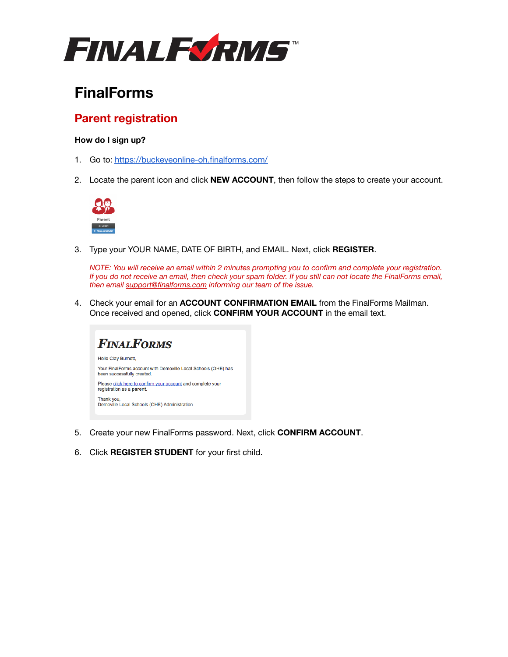

# **FinalForms**

## **Parent registration**

### **How do I sign up?**

- 1. Go to: <https://buckeyeonline-oh.finalforms.com/>
- 2. Locate the parent icon and click **NEW ACCOUNT**, then follow the steps to create your account.



3. Type your YOUR NAME, DATE OF BIRTH, and EMAIL. Next, click **REGISTER**.

*NOTE: You will receive an email within 2 minutes prompting you to confirm and complete your registration. If you do not receive an email, then check your spam folder. If you still can not locate the FinalForms email, then email [support@finalforms.com](mailto:support@finalforms.com) informing our team of the issue.*

4. Check your email for an **ACCOUNT CONFIRMATION EMAIL** from the FinalForms Mailman. Once received and opened, click **CONFIRM YOUR ACCOUNT** in the email text.



- 5. Create your new FinalForms password. Next, click **CONFIRM ACCOUNT**.
- 6. Click **REGISTER STUDENT** for your first child.